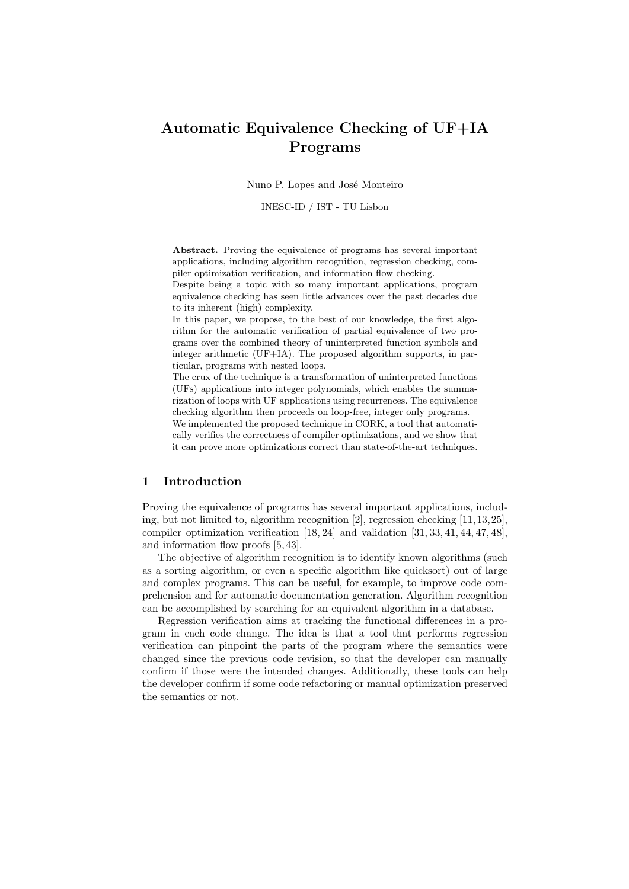# Automatic Equivalence Checking of UF+IA Programs

Nuno P. Lopes and José Monteiro

INESC-ID / IST - TU Lisbon

Abstract. Proving the equivalence of programs has several important applications, including algorithm recognition, regression checking, compiler optimization verification, and information flow checking.

Despite being a topic with so many important applications, program equivalence checking has seen little advances over the past decades due to its inherent (high) complexity.

In this paper, we propose, to the best of our knowledge, the first algorithm for the automatic verification of partial equivalence of two programs over the combined theory of uninterpreted function symbols and integer arithmetic (UF+IA). The proposed algorithm supports, in particular, programs with nested loops.

The crux of the technique is a transformation of uninterpreted functions (UFs) applications into integer polynomials, which enables the summarization of loops with UF applications using recurrences. The equivalence checking algorithm then proceeds on loop-free, integer only programs.

We implemented the proposed technique in CORK, a tool that automatically verifies the correctness of compiler optimizations, and we show that it can prove more optimizations correct than state-of-the-art techniques.

# 1 Introduction

Proving the equivalence of programs has several important applications, including, but not limited to, algorithm recognition [2], regression checking [11,13,25], compiler optimization verification [18, 24] and validation [31, 33, 41, 44, 47, 48], and information flow proofs [5, 43].

The objective of algorithm recognition is to identify known algorithms (such as a sorting algorithm, or even a specific algorithm like quicksort) out of large and complex programs. This can be useful, for example, to improve code comprehension and for automatic documentation generation. Algorithm recognition can be accomplished by searching for an equivalent algorithm in a database.

Regression verification aims at tracking the functional differences in a program in each code change. The idea is that a tool that performs regression verification can pinpoint the parts of the program where the semantics were changed since the previous code revision, so that the developer can manually confirm if those were the intended changes. Additionally, these tools can help the developer confirm if some code refactoring or manual optimization preserved the semantics or not.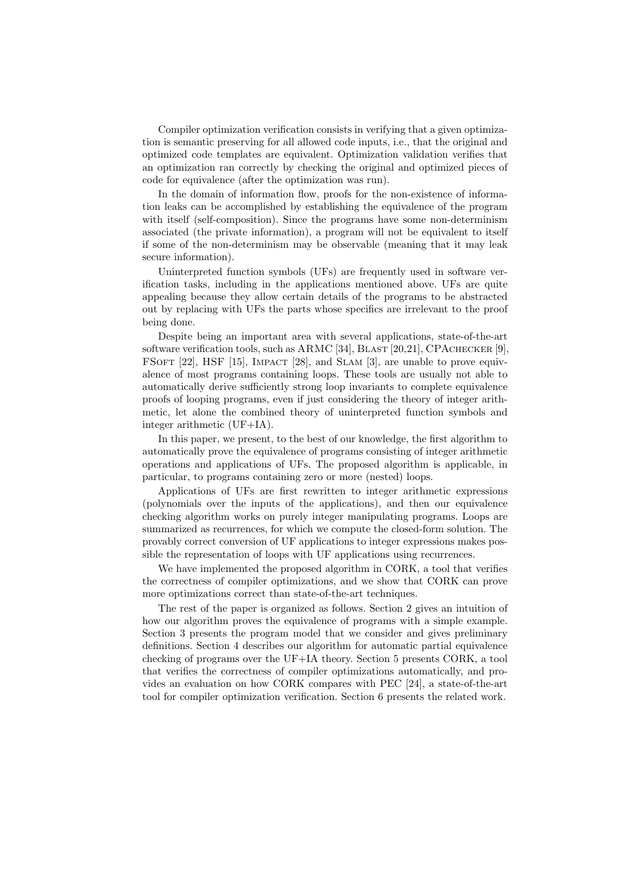Compiler optimization verification consists in verifying that a given optimization is semantic preserving for all allowed code inputs, i.e., that the original and optimized code templates are equivalent. Optimization validation verifies that an optimization ran correctly by checking the original and optimized pieces of code for equivalence (after the optimization was run).

In the domain of information flow, proofs for the non-existence of information leaks can be accomplished by establishing the equivalence of the program with itself (self-composition). Since the programs have some non-determinism associated (the private information), a program will not be equivalent to itself if some of the non-determinism may be observable (meaning that it may leak secure information).

Uninterpreted function symbols (UFs) are frequently used in software verification tasks, including in the applications mentioned above. UFs are quite appealing because they allow certain details of the programs to be abstracted out by replacing with UFs the parts whose specifics are irrelevant to the proof being done.

Despite being an important area with several applications, state-of-the-art software verification tools, such as ARMC [34], BLAST [20,21], CPACHECKER [9], FSOFT [22], HSF [15], IMPACT [28], and SLAM [3], are unable to prove equivalence of most programs containing loops. These tools are usually not able to automatically derive sufficiently strong loop invariants to complete equivalence proofs of looping programs, even if just considering the theory of integer arithmetic, let alone the combined theory of uninterpreted function symbols and integer arithmetic (UF+IA).

In this paper, we present, to the best of our knowledge, the first algorithm to automatically prove the equivalence of programs consisting of integer arithmetic operations and applications of UFs. The proposed algorithm is applicable, in particular, to programs containing zero or more (nested) loops.

Applications of UFs are first rewritten to integer arithmetic expressions (polynomials over the inputs of the applications), and then our equivalence checking algorithm works on purely integer manipulating programs. Loops are summarized as recurrences, for which we compute the closed-form solution. The provably correct conversion of UF applications to integer expressions makes possible the representation of loops with UF applications using recurrences.

We have implemented the proposed algorithm in CORK, a tool that verifies the correctness of compiler optimizations, and we show that CORK can prove more optimizations correct than state-of-the-art techniques.

The rest of the paper is organized as follows. Section 2 gives an intuition of how our algorithm proves the equivalence of programs with a simple example. Section 3 presents the program model that we consider and gives preliminary definitions. Section 4 describes our algorithm for automatic partial equivalence checking of programs over the UF+IA theory. Section 5 presents CORK, a tool that verifies the correctness of compiler optimizations automatically, and provides an evaluation on how CORK compares with PEC [24], a state-of-the-art tool for compiler optimization verification. Section 6 presents the related work.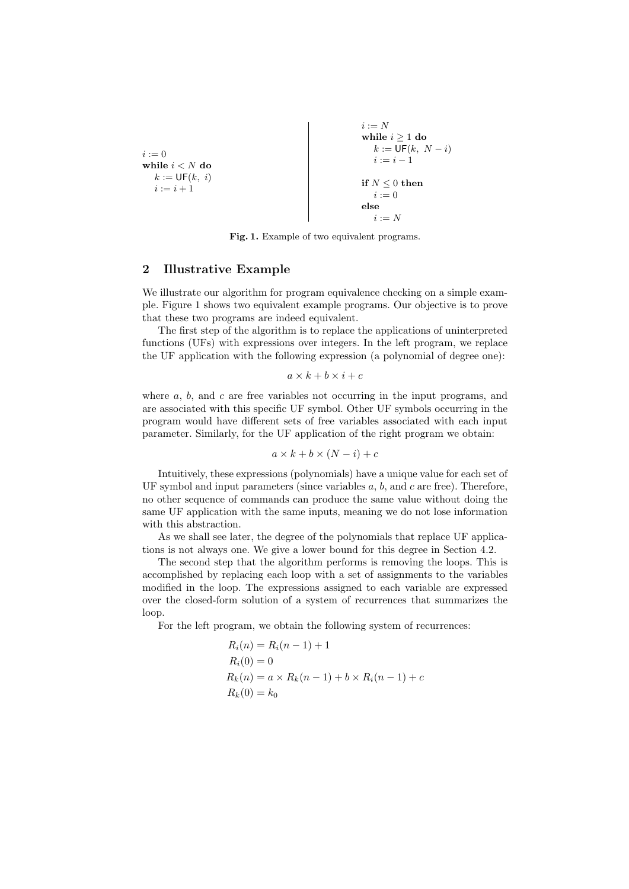$i := 0$ while  $i < N$  do  $k := \mathsf{UF}(k, i)$  $i := i + 1$ 

```
i := Nwhile i \geq 1 do
 k := \mathsf{UF}(k, N - i)i := i - 1if N \leq 0 then
 i := 0else
 i := N
```
Fig. 1. Example of two equivalent programs.

# 2 Illustrative Example

We illustrate our algorithm for program equivalence checking on a simple example. Figure 1 shows two equivalent example programs. Our objective is to prove that these two programs are indeed equivalent.

The first step of the algorithm is to replace the applications of uninterpreted functions (UFs) with expressions over integers. In the left program, we replace the UF application with the following expression (a polynomial of degree one):

$$
a \times k + b \times i + c
$$

where  $a, b$ , and  $c$  are free variables not occurring in the input programs, and are associated with this specific UF symbol. Other UF symbols occurring in the program would have different sets of free variables associated with each input parameter. Similarly, for the UF application of the right program we obtain:

$$
a \times k + b \times (N - i) + c
$$

Intuitively, these expressions (polynomials) have a unique value for each set of UF symbol and input parameters (since variables  $a, b$ , and  $c$  are free). Therefore, no other sequence of commands can produce the same value without doing the same UF application with the same inputs, meaning we do not lose information with this abstraction.

As we shall see later, the degree of the polynomials that replace UF applications is not always one. We give a lower bound for this degree in Section 4.2.

The second step that the algorithm performs is removing the loops. This is accomplished by replacing each loop with a set of assignments to the variables modified in the loop. The expressions assigned to each variable are expressed over the closed-form solution of a system of recurrences that summarizes the loop.

For the left program, we obtain the following system of recurrences:

$$
R_i(n) = R_i(n - 1) + 1
$$
  
\n
$$
R_i(0) = 0
$$
  
\n
$$
R_k(n) = a \times R_k(n - 1) + b \times R_i(n - 1) + c
$$
  
\n
$$
R_k(0) = k_0
$$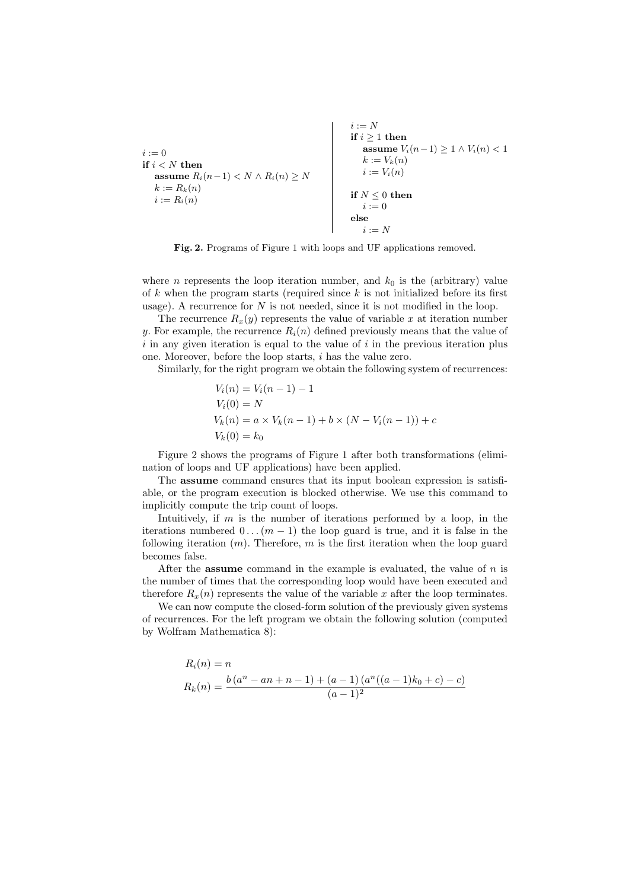$$
\begin{array}{ll} i := 0 \\ \text{if } i < N \text{ then} \\ \text{assume } R_i(n-1) < N \land R_i(n) \geq N \\ k := R_k(n) \\ i := R_i(n) \\ \text{else} \\ i := N \\ \end{array} \hspace{1.5cm} \begin{array}{ll} i := N \\ \text{if } i \geq 1 \text{ then} \\ \text{assume } V_i(n-1) \geq 1 \land V_i(n) < 1 \\ k := V_k(n) \\ i := V_i(n) \\ \text{if } N \leq 0 \text{ then} \\ i := 0 \\ \text{else} \\ i := N \\ \end{array}
$$

 $\mathbf{r}$ 

Fig. 2. Programs of Figure 1 with loops and UF applications removed.

where n represents the loop iteration number, and  $k_0$  is the (arbitrary) value of  $k$  when the program starts (required since  $k$  is not initialized before its first usage). A recurrence for  $N$  is not needed, since it is not modified in the loop.

The recurrence  $R_x(y)$  represents the value of variable x at iteration number y. For example, the recurrence  $R_i(n)$  defined previously means that the value of  $i$  in any given iteration is equal to the value of  $i$  in the previous iteration plus one. Moreover, before the loop starts, i has the value zero.

Similarly, for the right program we obtain the following system of recurrences:

$$
V_i(n) = V_i(n-1) - 1
$$
  
\n
$$
V_i(0) = N
$$
  
\n
$$
V_k(n) = a \times V_k(n-1) + b \times (N - V_i(n-1)) + c
$$
  
\n
$$
V_k(0) = k_0
$$

Figure 2 shows the programs of Figure 1 after both transformations (elimination of loops and UF applications) have been applied.

The assume command ensures that its input boolean expression is satisfiable, or the program execution is blocked otherwise. We use this command to implicitly compute the trip count of loops.

Intuitively, if  $m$  is the number of iterations performed by a loop, in the iterations numbered  $0 \dots (m-1)$  the loop guard is true, and it is false in the following iteration  $(m)$ . Therefore, m is the first iteration when the loop guard becomes false.

After the **assume** command in the example is evaluated, the value of  $n$  is the number of times that the corresponding loop would have been executed and therefore  $R_x(n)$  represents the value of the variable x after the loop terminates.

We can now compute the closed-form solution of the previously given systems of recurrences. For the left program we obtain the following solution (computed by Wolfram Mathematica 8):

$$
R_i(n) = n
$$
  
\n
$$
R_k(n) = \frac{b(a^n - an + n - 1) + (a - 1)(a^n((a - 1)k_0 + c) - c)}{(a - 1)^2}
$$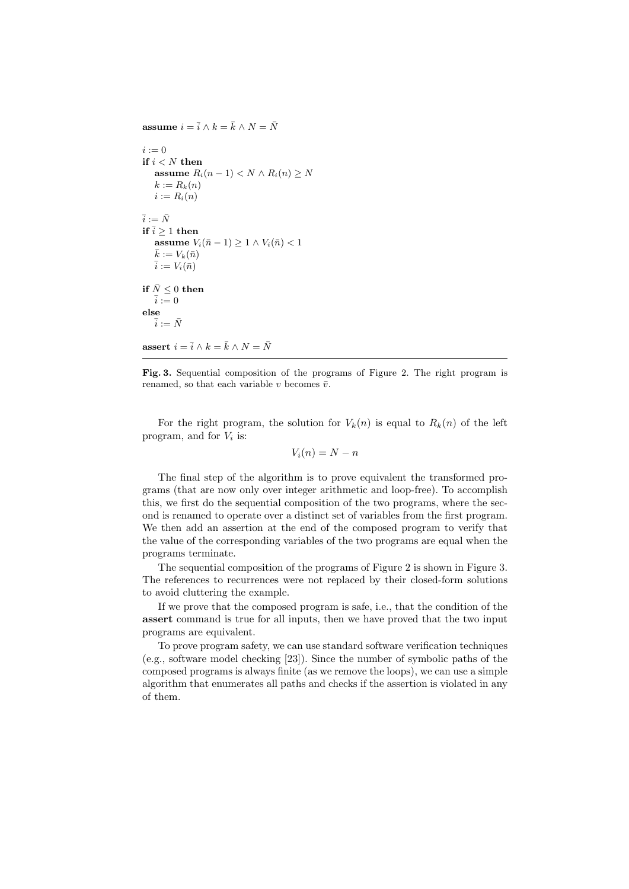assume  $i = \overline{i} \wedge k = \overline{k} \wedge N = \overline{N}$  $i := 0$ if  $i < N$  then assume  $R_i(n-1) < N \wedge R_i(n) \geq N$  $k := R_k(n)$  $i := R_i(n)$  $\bar{i} := \bar{N}$ if  $\bar{i} \geq 1$  then assume  $V_i(\bar{n} - 1) \geq 1 \wedge V_i(\bar{n}) < 1$  $\bar{k} := V_k(\bar{n})$  $\bar{i} := V_i(\bar{n})$ if  $\bar{N}\leq 0$  then  $\overline{i} := 0$ else  $\bar{i} := \bar{N}$ assert  $i = \overline{i} \wedge k = \overline{k} \wedge N = \overline{N}$ 

Fig. 3. Sequential composition of the programs of Figure 2. The right program is renamed, so that each variable v becomes  $\bar{v}$ .

For the right program, the solution for  $V_k(n)$  is equal to  $R_k(n)$  of the left program, and for  $V_i$  is:

$$
V_i(n) = N - n
$$

The final step of the algorithm is to prove equivalent the transformed programs (that are now only over integer arithmetic and loop-free). To accomplish this, we first do the sequential composition of the two programs, where the second is renamed to operate over a distinct set of variables from the first program. We then add an assertion at the end of the composed program to verify that the value of the corresponding variables of the two programs are equal when the programs terminate.

The sequential composition of the programs of Figure 2 is shown in Figure 3. The references to recurrences were not replaced by their closed-form solutions to avoid cluttering the example.

If we prove that the composed program is safe, i.e., that the condition of the assert command is true for all inputs, then we have proved that the two input programs are equivalent.

To prove program safety, we can use standard software verification techniques (e.g., software model checking [23]). Since the number of symbolic paths of the composed programs is always finite (as we remove the loops), we can use a simple algorithm that enumerates all paths and checks if the assertion is violated in any of them.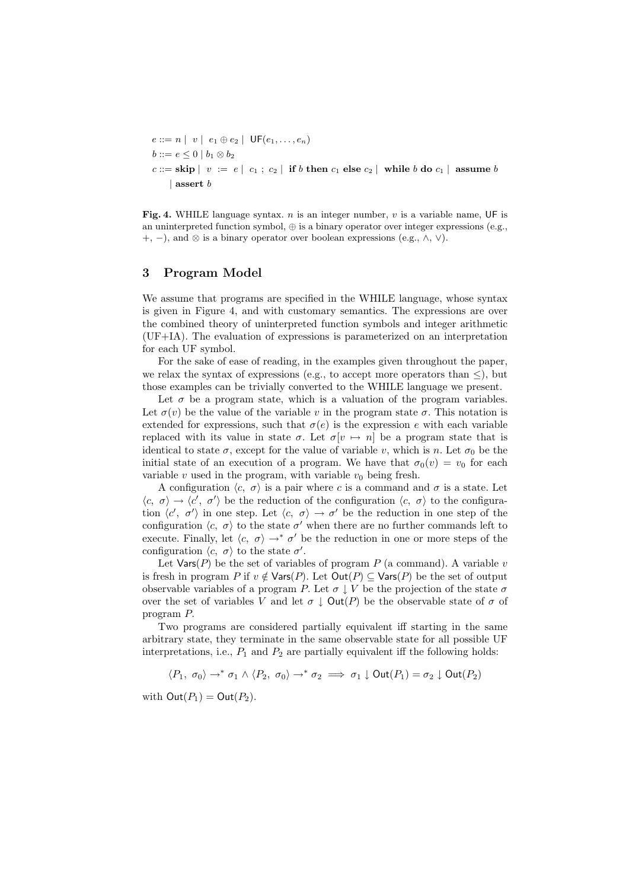$e ::= n \mid v \mid e_1 \oplus e_2 \mid \mathsf{UF}(e_1, \ldots, e_n)$  $b ::= e < 0 | b_1 \otimes b_2$  $c ::=$ skip  $|v == e | c_1 ; c_2 |$  if b then  $c_1$  else  $c_2 |$  while b do  $c_1 |$  assume b | assert  $b$ 

Fig. 4. WHILE language syntax. *n* is an integer number, *v* is a variable name, UF is an uninterpreted function symbol,  $\oplus$  is a binary operator over integer expressions (e.g., +, −), and ⊗ is a binary operator over boolean expressions (e.g., ∧, ∨).

# 3 Program Model

We assume that programs are specified in the WHILE language, whose syntax is given in Figure 4, and with customary semantics. The expressions are over the combined theory of uninterpreted function symbols and integer arithmetic (UF+IA). The evaluation of expressions is parameterized on an interpretation for each UF symbol.

For the sake of ease of reading, in the examples given throughout the paper, we relax the syntax of expressions (e.g., to accept more operators than  $\leq$ ), but those examples can be trivially converted to the WHILE language we present.

Let  $\sigma$  be a program state, which is a valuation of the program variables. Let  $\sigma(v)$  be the value of the variable v in the program state  $\sigma$ . This notation is extended for expressions, such that  $\sigma(e)$  is the expression e with each variable replaced with its value in state  $\sigma$ . Let  $\sigma[v \mapsto n]$  be a program state that is identical to state  $\sigma$ , except for the value of variable v, which is n. Let  $\sigma_0$  be the initial state of an execution of a program. We have that  $\sigma_0(v) = v_0$  for each variable v used in the program, with variable  $v_0$  being fresh.

A configuration  $\langle c, \sigma \rangle$  is a pair where c is a command and  $\sigma$  is a state. Let  $\langle c, \sigma \rangle \to \langle c', \sigma' \rangle$  be the reduction of the configuration  $\langle c, \sigma \rangle$  to the configuration  $\langle c', \sigma' \rangle$  in one step. Let  $\langle c, \sigma \rangle \to \sigma'$  be the reduction in one step of the configuration  $\langle c, \sigma \rangle$  to the state  $\sigma'$  when there are no further commands left to execute. Finally, let  $\langle c, \sigma \rangle \rightarrow^* \sigma'$  be the reduction in one or more steps of the configuration  $\langle c, \sigma \rangle$  to the state  $\sigma'$ .

Let  $Var(S)$  be the set of variables of program P (a command). A variable v is fresh in program P if  $v \notin \text{Vars}(P)$ . Let  $\text{Out}(P) \subseteq \text{Vars}(P)$  be the set of output observable variables of a program P. Let  $\sigma \downarrow V$  be the projection of the state  $\sigma$ over the set of variables V and let  $\sigma \downarrow$  Out(P) be the observable state of  $\sigma$  of program P.

Two programs are considered partially equivalent iff starting in the same arbitrary state, they terminate in the same observable state for all possible UF interpretations, i.e.,  $P_1$  and  $P_2$  are partially equivalent iff the following holds:

 $\langle P_1, \sigma_0 \rangle \rightarrow^* \sigma_1 \wedge \langle P_2, \sigma_0 \rangle \rightarrow^* \sigma_2 \implies \sigma_1 \downarrow \mathsf{Out}(P_1) = \sigma_2 \downarrow \mathsf{Out}(P_2)$ 

with  $Out(P_1) = Out(P_2)$ .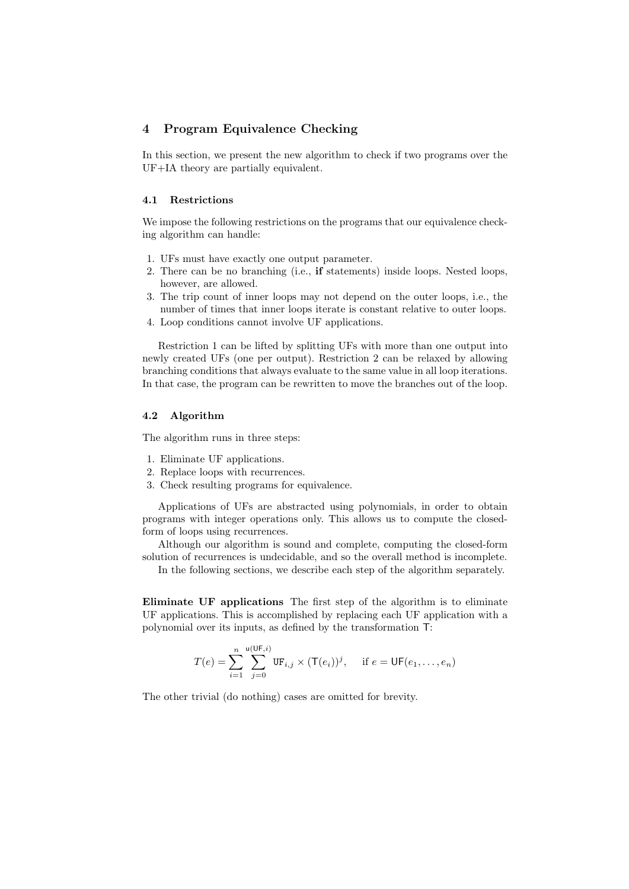# 4 Program Equivalence Checking

In this section, we present the new algorithm to check if two programs over the UF+IA theory are partially equivalent.

#### 4.1 Restrictions

We impose the following restrictions on the programs that our equivalence checking algorithm can handle:

- 1. UFs must have exactly one output parameter.
- 2. There can be no branching (i.e., if statements) inside loops. Nested loops, however, are allowed.
- 3. The trip count of inner loops may not depend on the outer loops, i.e., the number of times that inner loops iterate is constant relative to outer loops.
- 4. Loop conditions cannot involve UF applications.

Restriction 1 can be lifted by splitting UFs with more than one output into newly created UFs (one per output). Restriction 2 can be relaxed by allowing branching conditions that always evaluate to the same value in all loop iterations. In that case, the program can be rewritten to move the branches out of the loop.

# 4.2 Algorithm

The algorithm runs in three steps:

- 1. Eliminate UF applications.
- 2. Replace loops with recurrences.
- 3. Check resulting programs for equivalence.

Applications of UFs are abstracted using polynomials, in order to obtain programs with integer operations only. This allows us to compute the closedform of loops using recurrences.

Although our algorithm is sound and complete, computing the closed-form solution of recurrences is undecidable, and so the overall method is incomplete.

In the following sections, we describe each step of the algorithm separately.

Eliminate UF applications The first step of the algorithm is to eliminate UF applications. This is accomplished by replacing each UF application with a polynomial over its inputs, as defined by the transformation T:

$$
T(e) = \sum_{i=1}^{n} \sum_{j=0}^{u(\text{UF},i)} \text{UF}_{i,j} \times (\mathsf{T}(e_i))^j, \quad \text{ if } e = \text{UF}(e_1, \dots, e_n)
$$

The other trivial (do nothing) cases are omitted for brevity.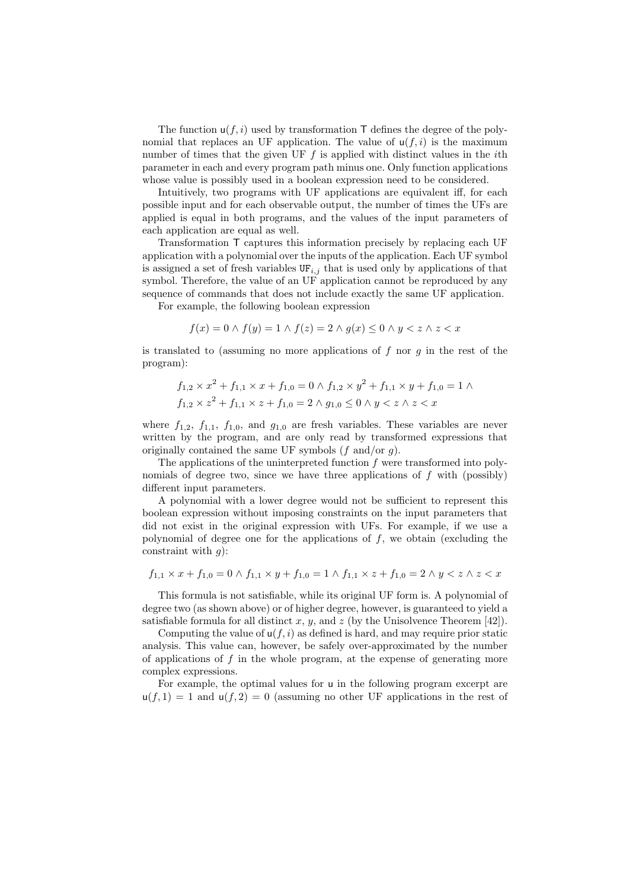The function  $u(f, i)$  used by transformation T defines the degree of the polynomial that replaces an UF application. The value of  $u(f, i)$  is the maximum number of times that the given UF  $f$  is applied with distinct values in the *i*th parameter in each and every program path minus one. Only function applications whose value is possibly used in a boolean expression need to be considered.

Intuitively, two programs with UF applications are equivalent iff, for each possible input and for each observable output, the number of times the UFs are applied is equal in both programs, and the values of the input parameters of each application are equal as well.

Transformation T captures this information precisely by replacing each UF application with a polynomial over the inputs of the application. Each UF symbol is assigned a set of fresh variables  $UF_{i,j}$  that is used only by applications of that symbol. Therefore, the value of an UF application cannot be reproduced by any sequence of commands that does not include exactly the same UF application.

For example, the following boolean expression

$$
f(x) = 0 \land f(y) = 1 \land f(z) = 2 \land g(x) \le 0 \land y < z \land z < x
$$

is translated to (assuming no more applications of f nor  $q$  in the rest of the program):

$$
f_{1,2} \times x^2 + f_{1,1} \times x + f_{1,0} = 0 \land f_{1,2} \times y^2 + f_{1,1} \times y + f_{1,0} = 1 \land f_{1,2} \times z^2 + f_{1,1} \times z + f_{1,0} = 2 \land g_{1,0} \le 0 \land y < z \land z < x
$$

where  $f_{1,2}, f_{1,1}, f_{1,0}$ , and  $g_{1,0}$  are fresh variables. These variables are never written by the program, and are only read by transformed expressions that originally contained the same UF symbols  $(f \text{ and/or } q)$ .

The applications of the uninterpreted function  $f$  were transformed into polynomials of degree two, since we have three applications of  $f$  with (possibly) different input parameters.

A polynomial with a lower degree would not be sufficient to represent this boolean expression without imposing constraints on the input parameters that did not exist in the original expression with UFs. For example, if we use a polynomial of degree one for the applications of  $f$ , we obtain (excluding the constraint with  $q$ ):

$$
f_{1,1} \times x + f_{1,0} = 0 \land f_{1,1} \times y + f_{1,0} = 1 \land f_{1,1} \times z + f_{1,0} = 2 \land y < z \land z < x
$$

This formula is not satisfiable, while its original UF form is. A polynomial of degree two (as shown above) or of higher degree, however, is guaranteed to yield a satisfiable formula for all distinct x, y, and z (by the Unisolvence Theorem  $[42]$ ).

Computing the value of  $\mathfrak{u}(f, i)$  as defined is hard, and may require prior static analysis. This value can, however, be safely over-approximated by the number of applications of  $f$  in the whole program, at the expense of generating more complex expressions.

For example, the optimal values for u in the following program excerpt are  $u(f, 1) = 1$  and  $u(f, 2) = 0$  (assuming no other UF applications in the rest of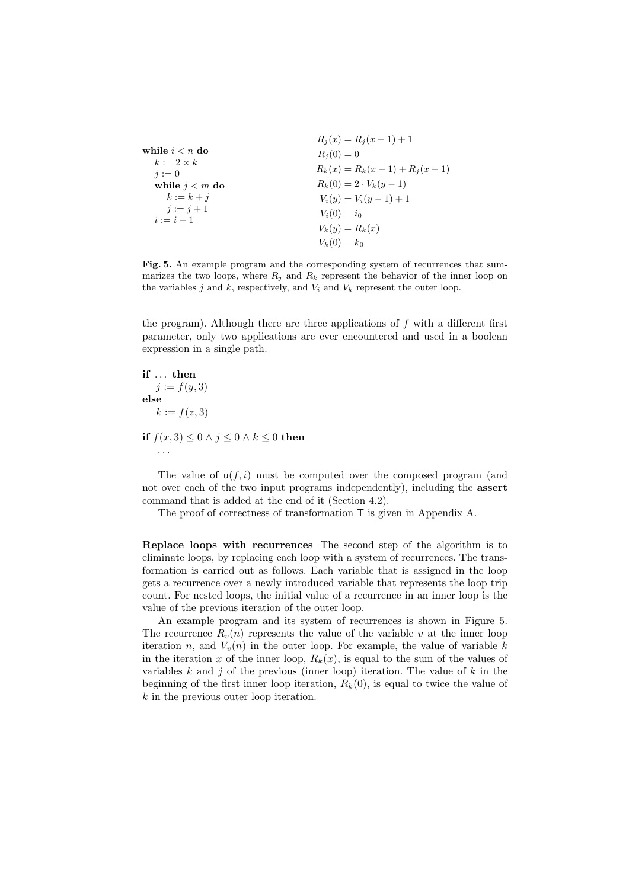|                               | $R_i(x) = R_i(x-1) + 1$        |
|-------------------------------|--------------------------------|
| while $i < n$ do              | $R_i(0) = 0$                   |
| $k := 2 \times k$<br>$i := 0$ | $R_k(x) = R_k(x-1) + R_i(x-1)$ |
| while $j < m$ do              | $R_k(0) = 2 \cdot V_k(y-1)$    |
| $k := k + i$                  | $V_i(y) = V_i(y-1) + 1$        |
| $i := i + 1$<br>$i := i + 1$  | $V_i(0) = i_0$                 |
|                               | $V_k(y) = R_k(x)$              |
|                               | $V_k(0) = k_0$                 |

Fig. 5. An example program and the corresponding system of recurrences that summarizes the two loops, where  $R_i$  and  $R_k$  represent the behavior of the inner loop on the variables j and  $k$ , respectively, and  $V_i$  and  $V_k$  represent the outer loop.

the program). Although there are three applications of  $f$  with a different first parameter, only two applications are ever encountered and used in a boolean expression in a single path.

if . . . then  $j := f(y, 3)$ else  $k := f(z, 3)$ 

if  $f(x, 3) \leq 0 \wedge j \leq 0 \wedge k \leq 0$  then . . .

The value of  $u(f, i)$  must be computed over the composed program (and not over each of the two input programs independently), including the assert command that is added at the end of it (Section 4.2).

The proof of correctness of transformation T is given in Appendix A.

Replace loops with recurrences The second step of the algorithm is to eliminate loops, by replacing each loop with a system of recurrences. The transformation is carried out as follows. Each variable that is assigned in the loop gets a recurrence over a newly introduced variable that represents the loop trip count. For nested loops, the initial value of a recurrence in an inner loop is the value of the previous iteration of the outer loop.

An example program and its system of recurrences is shown in Figure 5. The recurrence  $R_n(n)$  represents the value of the variable v at the inner loop iteration n, and  $V_v(n)$  in the outer loop. For example, the value of variable k in the iteration x of the inner loop,  $R_k(x)$ , is equal to the sum of the values of variables  $k$  and  $j$  of the previous (inner loop) iteration. The value of  $k$  in the beginning of the first inner loop iteration,  $R_k(0)$ , is equal to twice the value of k in the previous outer loop iteration.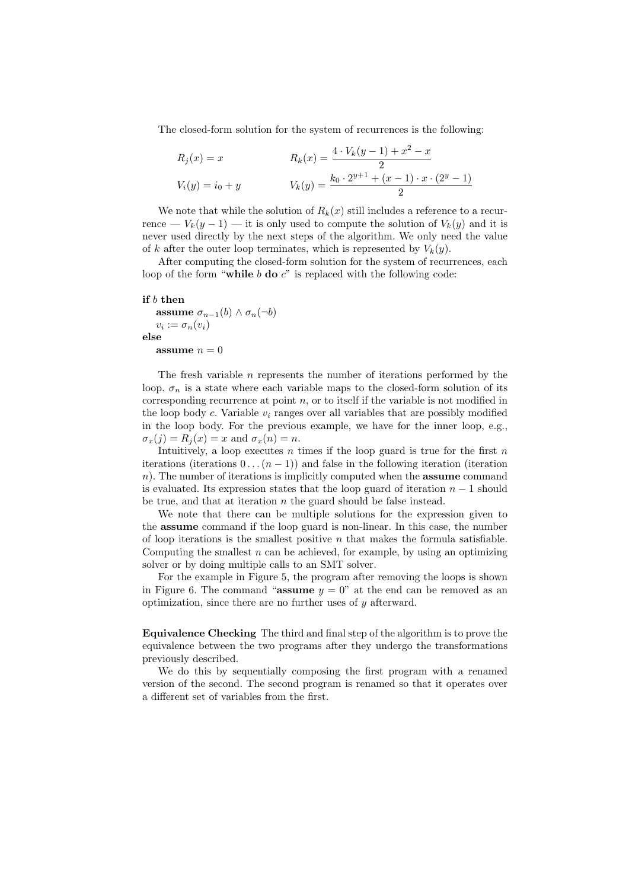The closed-form solution for the system of recurrences is the following:

$$
R_j(x) = x
$$
  
\n
$$
R_k(x) = \frac{4 \cdot V_k(y-1) + x^2 - x}{2}
$$
  
\n
$$
V_i(y) = i_0 + y
$$
  
\n
$$
V_k(y) = \frac{k_0 \cdot 2^{y+1} + (x-1) \cdot x \cdot (2^y - 1)}{2}
$$

We note that while the solution of  $R_k(x)$  still includes a reference to a recurrence —  $V_k(y-1)$  — it is only used to compute the solution of  $V_k(y)$  and it is never used directly by the next steps of the algorithm. We only need the value of k after the outer loop terminates, which is represented by  $V_k(y)$ .

After computing the closed-form solution for the system of recurrences, each loop of the form "while  $b$  do  $c$ " is replaced with the following code:

#### if b then

assume  $\sigma_{n-1}(b) \wedge \sigma_n(\neg b)$  $v_i := \sigma_n(v_i)$ else assume  $n = 0$ 

The fresh variable  $n$  represents the number of iterations performed by the loop.  $\sigma_n$  is a state where each variable maps to the closed-form solution of its corresponding recurrence at point  $n$ , or to itself if the variable is not modified in the loop body  $c$ . Variable  $v_i$  ranges over all variables that are possibly modified in the loop body. For the previous example, we have for the inner loop, e.g.,  $\sigma_x(j) = R_i(x) = x$  and  $\sigma_x(n) = n$ .

Intuitively, a loop executes  $n$  times if the loop guard is true for the first  $n$ iterations (iterations  $0 \dots (n-1)$ ) and false in the following iteration (iteration  $n$ ). The number of iterations is implicitly computed when the **assume** command is evaluated. Its expression states that the loop guard of iteration  $n-1$  should be true, and that at iteration  $n$  the guard should be false instead.

We note that there can be multiple solutions for the expression given to the assume command if the loop guard is non-linear. In this case, the number of loop iterations is the smallest positive  $n$  that makes the formula satisfiable. Computing the smallest  $n$  can be achieved, for example, by using an optimizing solver or by doing multiple calls to an SMT solver.

For the example in Figure 5, the program after removing the loops is shown in Figure 6. The command "assume  $y = 0$ " at the end can be removed as an optimization, since there are no further uses of y afterward.

Equivalence Checking The third and final step of the algorithm is to prove the equivalence between the two programs after they undergo the transformations previously described.

We do this by sequentially composing the first program with a renamed version of the second. The second program is renamed so that it operates over a different set of variables from the first.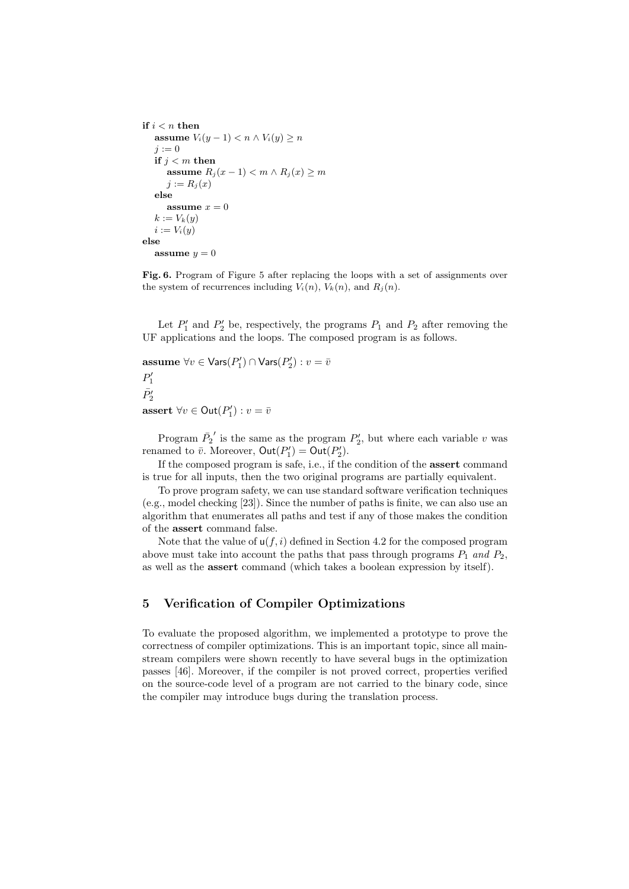```
if i < n then
assume V_i(y-1) < n \land V_i(y) \ge nj := 0if j < m then
   assume R_i(x-1) < m \wedge R_i(x) \geq mj := R_i(x)else
   assume x = 0k := V_k(y)i := V_i(y)else
 assume y = 0
```
Fig. 6. Program of Figure 5 after replacing the loops with a set of assignments over the system of recurrences including  $V_i(n)$ ,  $V_k(n)$ , and  $R_i(n)$ .

Let  $P'_1$  and  $P'_2$  be, respectively, the programs  $P_1$  and  $P_2$  after removing the UF applications and the loops. The composed program is as follows.

assume  $\forall v \in \textsf{Vars}(P_1') \cap \textsf{Vars}(P_2') : v = \bar{v}$  $P_1'$  $\bar{P}'_2$ assert  $\forall v \in \mathsf{Out}(P'_1): v = \bar{v}$ 

Program  $\overline{P_2}'$  is the same as the program  $P_2'$ , but where each variable v was renamed to  $\bar{v}$ . Moreover,  $\mathsf{Out}(P'_1) = \mathsf{Out}(P'_2)$ .

If the composed program is safe, i.e., if the condition of the assert command is true for all inputs, then the two original programs are partially equivalent.

To prove program safety, we can use standard software verification techniques (e.g., model checking [23]). Since the number of paths is finite, we can also use an algorithm that enumerates all paths and test if any of those makes the condition of the assert command false.

Note that the value of  $u(f, i)$  defined in Section 4.2 for the composed program above must take into account the paths that pass through programs  $P_1$  and  $P_2$ , as well as the assert command (which takes a boolean expression by itself).

# 5 Verification of Compiler Optimizations

To evaluate the proposed algorithm, we implemented a prototype to prove the correctness of compiler optimizations. This is an important topic, since all mainstream compilers were shown recently to have several bugs in the optimization passes [46]. Moreover, if the compiler is not proved correct, properties verified on the source-code level of a program are not carried to the binary code, since the compiler may introduce bugs during the translation process.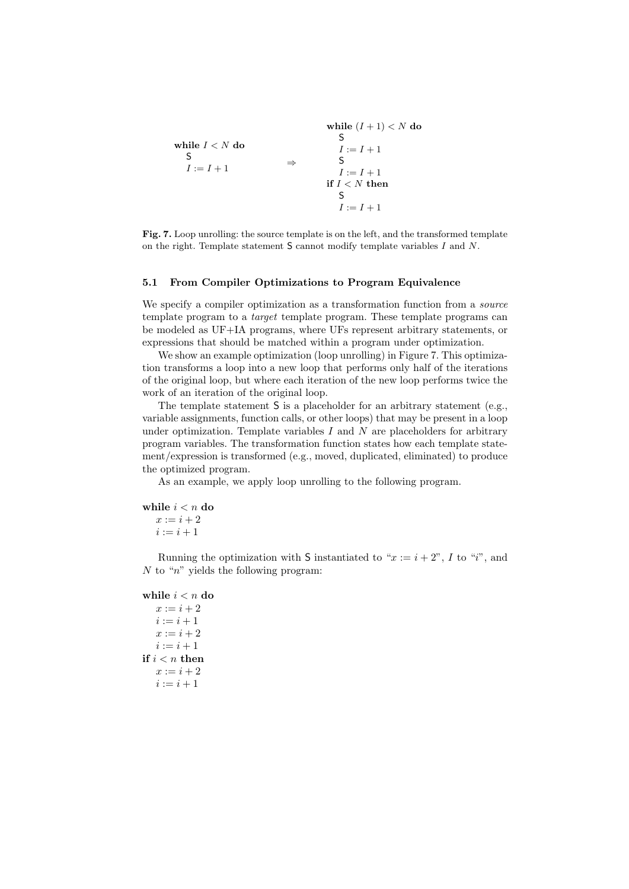while  $I < N$  do S  $I := I + 1$   $\Rightarrow$ while  $(I + 1) < N$  do S  $I:=I+1$ S  $I := I + 1$ if  $I < N$  then S  $I := I + 1$ 

Fig. 7. Loop unrolling: the source template is on the left, and the transformed template on the right. Template statement S cannot modify template variables I and N.

# 5.1 From Compiler Optimizations to Program Equivalence

We specify a compiler optimization as a transformation function from a *source* template program to a target template program. These template programs can be modeled as UF+IA programs, where UFs represent arbitrary statements, or expressions that should be matched within a program under optimization.

We show an example optimization (loop unrolling) in Figure 7. This optimization transforms a loop into a new loop that performs only half of the iterations of the original loop, but where each iteration of the new loop performs twice the work of an iteration of the original loop.

The template statement S is a placeholder for an arbitrary statement (e.g., variable assignments, function calls, or other loops) that may be present in a loop under optimization. Template variables  $I$  and  $N$  are placeholders for arbitrary program variables. The transformation function states how each template statement/expression is transformed (e.g., moved, duplicated, eliminated) to produce the optimized program.

As an example, we apply loop unrolling to the following program.

while  $i < n$  do  $x := i + 2$ 

 $i := i + 1$ 

Running the optimization with S instantiated to " $x := i + 2$ ", I to "i", and  $N$  to "n" yields the following program:

while  $i < n$  do  $x := i + 2$  $i := i + 1$  $x := i + 2$  $i := i + 1$ if  $i < n$  then  $x := i + 2$  $i := i + 1$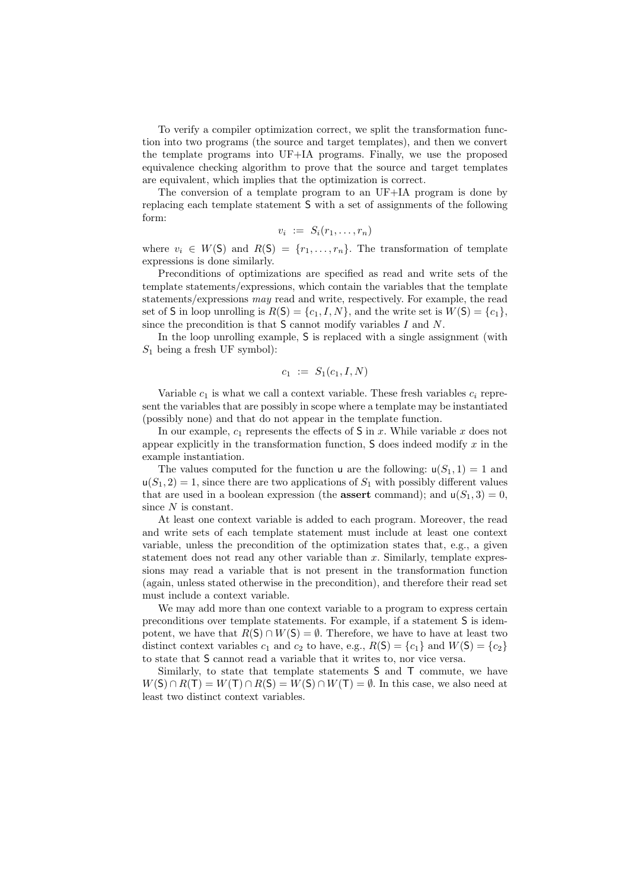To verify a compiler optimization correct, we split the transformation function into two programs (the source and target templates), and then we convert the template programs into UF+IA programs. Finally, we use the proposed equivalence checking algorithm to prove that the source and target templates are equivalent, which implies that the optimization is correct.

The conversion of a template program to an UF+IA program is done by replacing each template statement S with a set of assignments of the following form:

$$
v_i := S_i(r_1, \ldots, r_n)
$$

where  $v_i \in W(S)$  and  $R(S) = \{r_1, \ldots, r_n\}$ . The transformation of template expressions is done similarly.

Preconditions of optimizations are specified as read and write sets of the template statements/expressions, which contain the variables that the template statements/expressions may read and write, respectively. For example, the read set of S in loop unrolling is  $R(S) = \{c_1, I, N\}$ , and the write set is  $W(S) = \{c_1\}$ , since the precondition is that  $S$  cannot modify variables  $I$  and  $N$ .

In the loop unrolling example, S is replaced with a single assignment (with  $S_1$  being a fresh UF symbol):

$$
c_1 := S_1(c_1, I, N)
$$

Variable  $c_1$  is what we call a context variable. These fresh variables  $c_i$  represent the variables that are possibly in scope where a template may be instantiated (possibly none) and that do not appear in the template function.

In our example,  $c_1$  represents the effects of S in x. While variable x does not appear explicitly in the transformation function,  $S$  does indeed modify x in the example instantiation.

The values computed for the function u are the following:  $u(S_1, 1) = 1$  and  $u(S_1, 2) = 1$ , since there are two applications of  $S_1$  with possibly different values that are used in a boolean expression (the **assert** command); and  $u(S_1, 3) = 0$ , since  $N$  is constant.

At least one context variable is added to each program. Moreover, the read and write sets of each template statement must include at least one context variable, unless the precondition of the optimization states that, e.g., a given statement does not read any other variable than  $x$ . Similarly, template expressions may read a variable that is not present in the transformation function (again, unless stated otherwise in the precondition), and therefore their read set must include a context variable.

We may add more than one context variable to a program to express certain preconditions over template statements. For example, if a statement S is idempotent, we have that  $R(S) \cap W(S) = \emptyset$ . Therefore, we have to have at least two distinct context variables  $c_1$  and  $c_2$  to have, e.g.,  $R(S) = \{c_1\}$  and  $W(S) = \{c_2\}$ to state that S cannot read a variable that it writes to, nor vice versa.

Similarly, to state that template statements S and T commute, we have  $W(S) \cap R(T) = W(T) \cap R(S) = W(S) \cap W(T) = \emptyset$ . In this case, we also need at least two distinct context variables.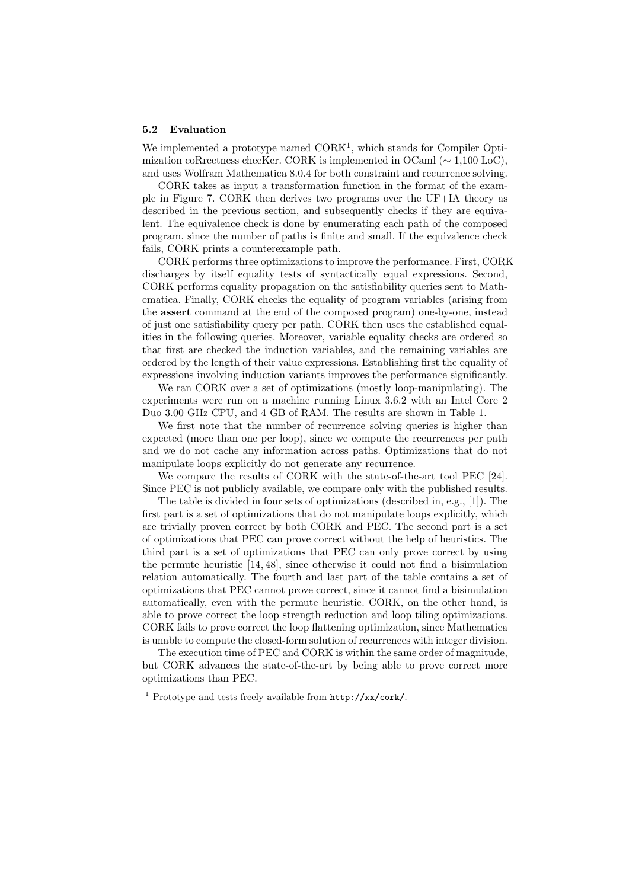#### 5.2 Evaluation

We implemented a prototype named  $CORK<sup>1</sup>$ , which stands for Compiler Optimization coRrectness checKer. CORK is implemented in OCaml ( $\sim 1.100$  LoC), and uses Wolfram Mathematica 8.0.4 for both constraint and recurrence solving.

CORK takes as input a transformation function in the format of the example in Figure 7. CORK then derives two programs over the UF+IA theory as described in the previous section, and subsequently checks if they are equivalent. The equivalence check is done by enumerating each path of the composed program, since the number of paths is finite and small. If the equivalence check fails, CORK prints a counterexample path.

CORK performs three optimizations to improve the performance. First, CORK discharges by itself equality tests of syntactically equal expressions. Second, CORK performs equality propagation on the satisfiability queries sent to Mathematica. Finally, CORK checks the equality of program variables (arising from the assert command at the end of the composed program) one-by-one, instead of just one satisfiability query per path. CORK then uses the established equalities in the following queries. Moreover, variable equality checks are ordered so that first are checked the induction variables, and the remaining variables are ordered by the length of their value expressions. Establishing first the equality of expressions involving induction variants improves the performance significantly.

We ran CORK over a set of optimizations (mostly loop-manipulating). The experiments were run on a machine running Linux 3.6.2 with an Intel Core 2 Duo 3.00 GHz CPU, and 4 GB of RAM. The results are shown in Table 1.

We first note that the number of recurrence solving queries is higher than expected (more than one per loop), since we compute the recurrences per path and we do not cache any information across paths. Optimizations that do not manipulate loops explicitly do not generate any recurrence.

We compare the results of CORK with the state-of-the-art tool PEC [24]. Since PEC is not publicly available, we compare only with the published results.

The table is divided in four sets of optimizations (described in, e.g., [1]). The first part is a set of optimizations that do not manipulate loops explicitly, which are trivially proven correct by both CORK and PEC. The second part is a set of optimizations that PEC can prove correct without the help of heuristics. The third part is a set of optimizations that PEC can only prove correct by using the permute heuristic [14, 48], since otherwise it could not find a bisimulation relation automatically. The fourth and last part of the table contains a set of optimizations that PEC cannot prove correct, since it cannot find a bisimulation automatically, even with the permute heuristic. CORK, on the other hand, is able to prove correct the loop strength reduction and loop tiling optimizations. CORK fails to prove correct the loop flattening optimization, since Mathematica is unable to compute the closed-form solution of recurrences with integer division.

The execution time of PEC and CORK is within the same order of magnitude, but CORK advances the state-of-the-art by being able to prove correct more optimizations than PEC.

<sup>&</sup>lt;sup>1</sup> Prototype and tests freely available from  $http://xx/cork/$ .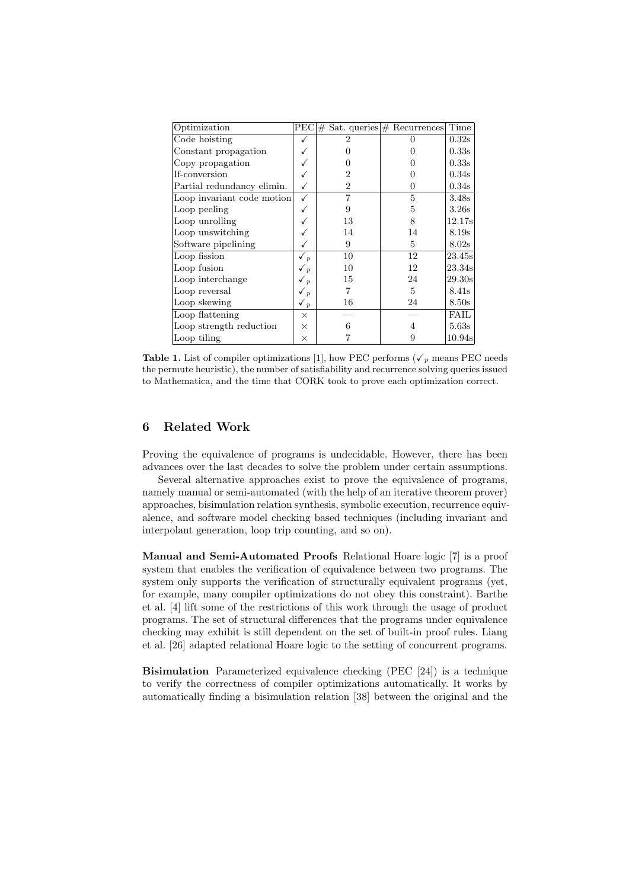| Optimization               |                  |                | $\text{PEC}$ # Sat. queries # Recurrences | Time              |
|----------------------------|------------------|----------------|-------------------------------------------|-------------------|
| Code hoisting              |                  | 2              | 0                                         | 0.32s             |
| Constant propagation       |                  |                | 0                                         | 0.33s             |
| Copy propagation           |                  |                | $\Omega$                                  | 0.33s             |
| If-conversion              |                  | 2              | 0                                         | 0.34s             |
| Partial redundancy elimin. |                  | $\overline{2}$ | 0                                         | 0.34s             |
| Loop invariant code motion | ✓                |                | 5                                         | 3.48s             |
| Loop peeling               |                  | 9              | 5                                         | 3.26s             |
| Loop unrolling             |                  | 13             | 8                                         | 12.17s            |
| Loop unswitching           |                  | 14             | 14                                        | 8.19s             |
| Software pipelining        |                  | 9              | 5                                         | 8.02s             |
| Loop fission               | $\boldsymbol{v}$ | 10             | 12                                        | 23.45s            |
| Loop fusion                | $\boldsymbol{v}$ | 10             | 12                                        | 23.34s            |
| Loop interchange           | $\boldsymbol{p}$ | 15             | 24                                        | 29.30s            |
| Loop reversal              | $\boldsymbol{p}$ |                | 5                                         | 8.41s             |
| Loop skewing               | $\checkmark$ p   | 16             | 24                                        | 8.50s             |
| Loop flattening            | $\times$         |                |                                           | FAIL              |
| Loop strength reduction    | $\times$         | 6              |                                           | 5.63s             |
| Loop tiling                | X                |                | 9                                         | $10.94\mathrm{s}$ |

**Table 1.** List of compiler optimizations [1], how PEC performs ( $\checkmark_p$  means PEC needs the permute heuristic), the number of satisfiability and recurrence solving queries issued to Mathematica, and the time that CORK took to prove each optimization correct.

# 6 Related Work

Proving the equivalence of programs is undecidable. However, there has been advances over the last decades to solve the problem under certain assumptions.

Several alternative approaches exist to prove the equivalence of programs, namely manual or semi-automated (with the help of an iterative theorem prover) approaches, bisimulation relation synthesis, symbolic execution, recurrence equivalence, and software model checking based techniques (including invariant and interpolant generation, loop trip counting, and so on).

Manual and Semi-Automated Proofs Relational Hoare logic [7] is a proof system that enables the verification of equivalence between two programs. The system only supports the verification of structurally equivalent programs (yet, for example, many compiler optimizations do not obey this constraint). Barthe et al. [4] lift some of the restrictions of this work through the usage of product programs. The set of structural differences that the programs under equivalence checking may exhibit is still dependent on the set of built-in proof rules. Liang et al. [26] adapted relational Hoare logic to the setting of concurrent programs.

Bisimulation Parameterized equivalence checking (PEC [24]) is a technique to verify the correctness of compiler optimizations automatically. It works by automatically finding a bisimulation relation [38] between the original and the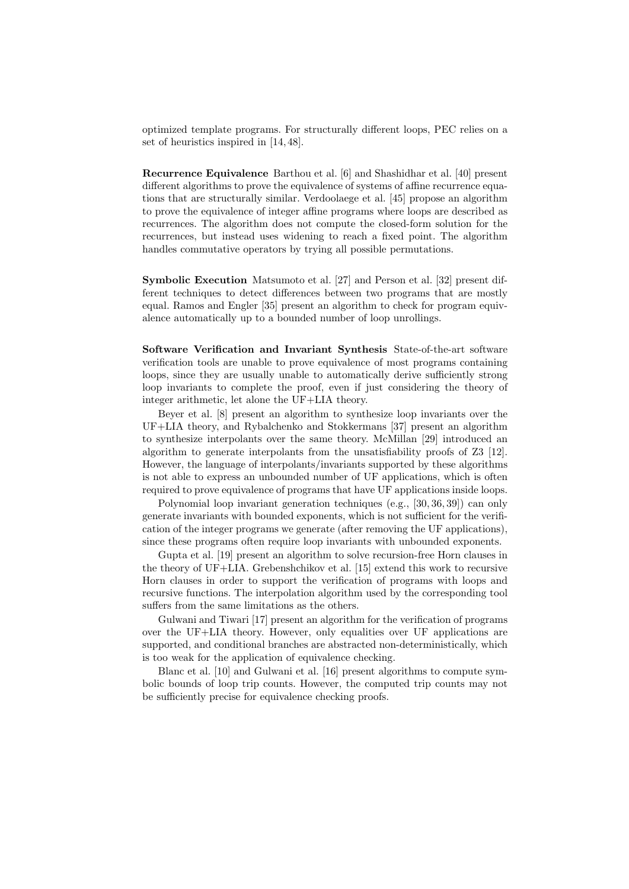optimized template programs. For structurally different loops, PEC relies on a set of heuristics inspired in [14, 48].

Recurrence Equivalence Barthou et al. [6] and Shashidhar et al. [40] present different algorithms to prove the equivalence of systems of affine recurrence equations that are structurally similar. Verdoolaege et al. [45] propose an algorithm to prove the equivalence of integer affine programs where loops are described as recurrences. The algorithm does not compute the closed-form solution for the recurrences, but instead uses widening to reach a fixed point. The algorithm handles commutative operators by trying all possible permutations.

Symbolic Execution Matsumoto et al. [27] and Person et al. [32] present different techniques to detect differences between two programs that are mostly equal. Ramos and Engler [35] present an algorithm to check for program equivalence automatically up to a bounded number of loop unrollings.

Software Verification and Invariant Synthesis State-of-the-art software verification tools are unable to prove equivalence of most programs containing loops, since they are usually unable to automatically derive sufficiently strong loop invariants to complete the proof, even if just considering the theory of integer arithmetic, let alone the UF+LIA theory.

Beyer et al. [8] present an algorithm to synthesize loop invariants over the UF+LIA theory, and Rybalchenko and Stokkermans [37] present an algorithm to synthesize interpolants over the same theory. McMillan [29] introduced an algorithm to generate interpolants from the unsatisfiability proofs of Z3 [12]. However, the language of interpolants/invariants supported by these algorithms is not able to express an unbounded number of UF applications, which is often required to prove equivalence of programs that have UF applications inside loops.

Polynomial loop invariant generation techniques (e.g., [30, 36, 39]) can only generate invariants with bounded exponents, which is not sufficient for the verification of the integer programs we generate (after removing the UF applications), since these programs often require loop invariants with unbounded exponents.

Gupta et al. [19] present an algorithm to solve recursion-free Horn clauses in the theory of UF+LIA. Grebenshchikov et al. [15] extend this work to recursive Horn clauses in order to support the verification of programs with loops and recursive functions. The interpolation algorithm used by the corresponding tool suffers from the same limitations as the others.

Gulwani and Tiwari [17] present an algorithm for the verification of programs over the UF+LIA theory. However, only equalities over UF applications are supported, and conditional branches are abstracted non-deterministically, which is too weak for the application of equivalence checking.

Blanc et al. [10] and Gulwani et al. [16] present algorithms to compute symbolic bounds of loop trip counts. However, the computed trip counts may not be sufficiently precise for equivalence checking proofs.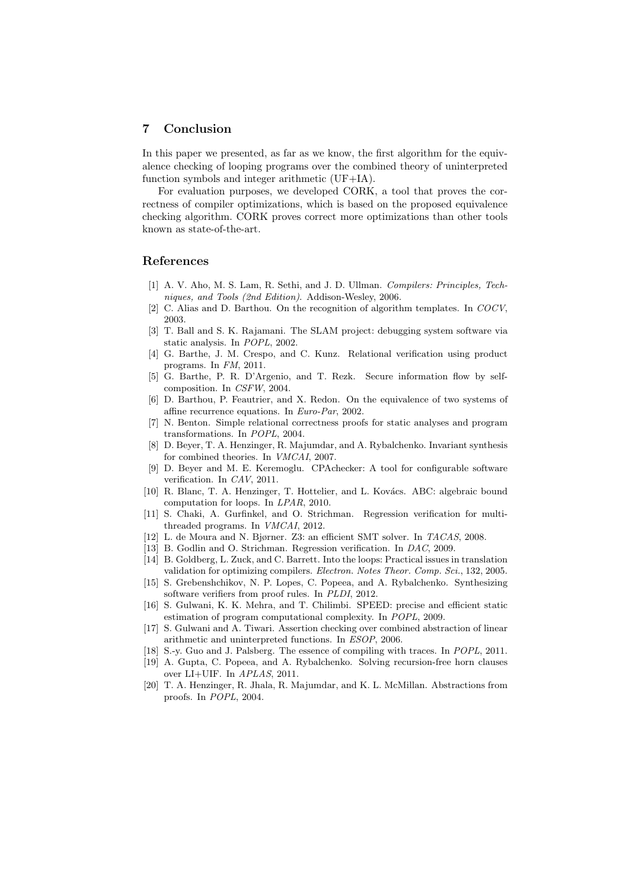# 7 Conclusion

In this paper we presented, as far as we know, the first algorithm for the equivalence checking of looping programs over the combined theory of uninterpreted function symbols and integer arithmetic (UF+IA).

For evaluation purposes, we developed CORK, a tool that proves the correctness of compiler optimizations, which is based on the proposed equivalence checking algorithm. CORK proves correct more optimizations than other tools known as state-of-the-art.

#### References

- [1] A. V. Aho, M. S. Lam, R. Sethi, and J. D. Ullman. Compilers: Principles, Techniques, and Tools (2nd Edition). Addison-Wesley, 2006.
- [2] C. Alias and D. Barthou. On the recognition of algorithm templates. In COCV, 2003.
- [3] T. Ball and S. K. Rajamani. The SLAM project: debugging system software via static analysis. In POPL, 2002.
- [4] G. Barthe, J. M. Crespo, and C. Kunz. Relational verification using product programs. In FM, 2011.
- [5] G. Barthe, P. R. D'Argenio, and T. Rezk. Secure information flow by selfcomposition. In CSFW, 2004.
- [6] D. Barthou, P. Feautrier, and X. Redon. On the equivalence of two systems of affine recurrence equations. In Euro-Par, 2002.
- [7] N. Benton. Simple relational correctness proofs for static analyses and program transformations. In POPL, 2004.
- [8] D. Beyer, T. A. Henzinger, R. Majumdar, and A. Rybalchenko. Invariant synthesis for combined theories. In VMCAI, 2007.
- [9] D. Beyer and M. E. Keremoglu. CPAchecker: A tool for configurable software verification. In CAV, 2011.
- [10] R. Blanc, T. A. Henzinger, T. Hottelier, and L. Kovács. ABC: algebraic bound computation for loops. In LPAR, 2010.
- [11] S. Chaki, A. Gurfinkel, and O. Strichman. Regression verification for multithreaded programs. In VMCAI, 2012.
- [12] L. de Moura and N. Bjørner. Z3: an efficient SMT solver. In TACAS, 2008.
- [13] B. Godlin and O. Strichman. Regression verification. In DAC, 2009.
- [14] B. Goldberg, L. Zuck, and C. Barrett. Into the loops: Practical issues in translation validation for optimizing compilers. Electron. Notes Theor. Comp. Sci., 132, 2005.
- [15] S. Grebenshchikov, N. P. Lopes, C. Popeea, and A. Rybalchenko. Synthesizing software verifiers from proof rules. In PLDI, 2012.
- [16] S. Gulwani, K. K. Mehra, and T. Chilimbi. SPEED: precise and efficient static estimation of program computational complexity. In POPL, 2009.
- [17] S. Gulwani and A. Tiwari. Assertion checking over combined abstraction of linear arithmetic and uninterpreted functions. In ESOP, 2006.
- [18] S.-y. Guo and J. Palsberg. The essence of compiling with traces. In POPL, 2011.
- [19] A. Gupta, C. Popeea, and A. Rybalchenko. Solving recursion-free horn clauses over LI+UIF. In APLAS, 2011.
- [20] T. A. Henzinger, R. Jhala, R. Majumdar, and K. L. McMillan. Abstractions from proofs. In POPL, 2004.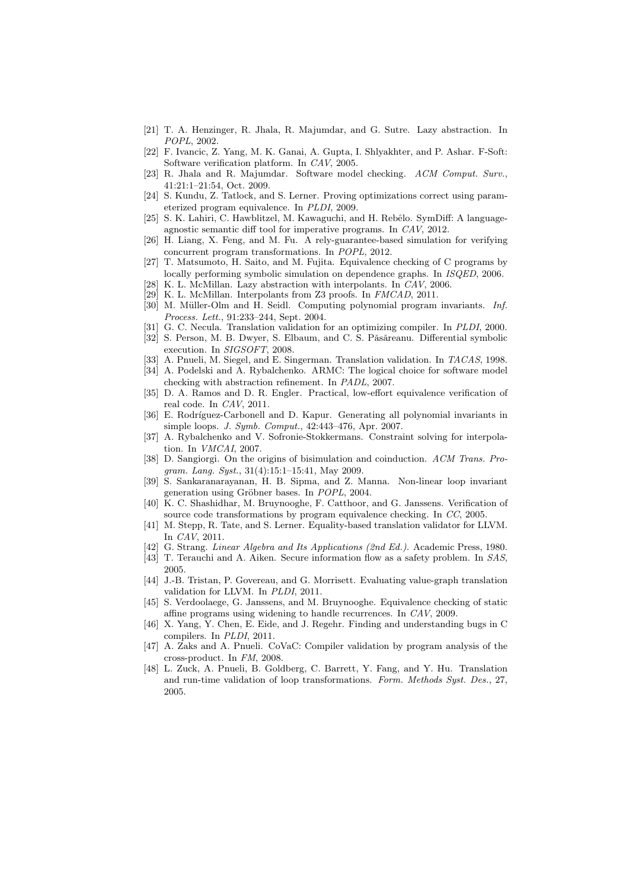- [21] T. A. Henzinger, R. Jhala, R. Majumdar, and G. Sutre. Lazy abstraction. In POPL, 2002.
- [22] F. Ivancic, Z. Yang, M. K. Ganai, A. Gupta, I. Shlyakhter, and P. Ashar. F-Soft: Software verification platform. In CAV, 2005.
- [23] R. Jhala and R. Majumdar. Software model checking. ACM Comput. Surv., 41:21:1–21:54, Oct. 2009.
- [24] S. Kundu, Z. Tatlock, and S. Lerner. Proving optimizations correct using parameterized program equivalence. In PLDI, 2009.
- [25] S. K. Lahiri, C. Hawblitzel, M. Kawaguchi, and H. Rebêlo. SymDiff: A languageagnostic semantic diff tool for imperative programs. In CAV, 2012.
- [26] H. Liang, X. Feng, and M. Fu. A rely-guarantee-based simulation for verifying concurrent program transformations. In POPL, 2012.
- [27] T. Matsumoto, H. Saito, and M. Fujita. Equivalence checking of C programs by locally performing symbolic simulation on dependence graphs. In ISQED, 2006.
- K. L. McMillan. Lazy abstraction with interpolants. In CAV, 2006.
- [29] K. L. McMillan. Interpolants from Z3 proofs. In  $FMCAD$ , 2011.
- [30] M. Müller-Olm and H. Seidl. Computing polynomial program invariants. Inf. Process. Lett., 91:233–244, Sept. 2004.
- [31] G. C. Necula. Translation validation for an optimizing compiler. In PLDI, 2000.
- [32] S. Person, M. B. Dwyer, S. Elbaum, and C. S. Pǎsǎreanu. Differential symbolic execution. In SIGSOFT, 2008.
- [33] A. Pnueli, M. Siegel, and E. Singerman. Translation validation. In TACAS, 1998.
- [34] A. Podelski and A. Rybalchenko. ARMC: The logical choice for software model checking with abstraction refinement. In PADL, 2007.
- [35] D. A. Ramos and D. R. Engler. Practical, low-effort equivalence verification of real code. In CAV, 2011.
- [36] E. Rodríguez-Carbonell and D. Kapur. Generating all polynomial invariants in simple loops. J. Symb. Comput., 42:443–476, Apr. 2007.
- [37] A. Rybalchenko and V. Sofronie-Stokkermans. Constraint solving for interpolation. In VMCAI, 2007.
- [38] D. Sangiorgi. On the origins of bisimulation and coinduction. ACM Trans. Program. Lang. Syst., 31(4):15:1–15:41, May 2009.
- [39] S. Sankaranarayanan, H. B. Sipma, and Z. Manna. Non-linear loop invariant generation using Gröbner bases. In POPL, 2004.
- [40] K. C. Shashidhar, M. Bruynooghe, F. Catthoor, and G. Janssens. Verification of source code transformations by program equivalence checking. In CC, 2005.
- [41] M. Stepp, R. Tate, and S. Lerner. Equality-based translation validator for LLVM. In CAV, 2011.
- [42] G. Strang. Linear Algebra and Its Applications (2nd Ed.). Academic Press, 1980.
- [43] T. Terauchi and A. Aiken. Secure information flow as a safety problem. In SAS, 2005.
- [44] J.-B. Tristan, P. Govereau, and G. Morrisett. Evaluating value-graph translation validation for LLVM. In PLDI, 2011.
- [45] S. Verdoolaege, G. Janssens, and M. Bruynooghe. Equivalence checking of static affine programs using widening to handle recurrences. In CAV, 2009.
- [46] X. Yang, Y. Chen, E. Eide, and J. Regehr. Finding and understanding bugs in C compilers. In PLDI, 2011.
- [47] A. Zaks and A. Pnueli. CoVaC: Compiler validation by program analysis of the cross-product. In FM, 2008.
- [48] L. Zuck, A. Pnueli, B. Goldberg, C. Barrett, Y. Fang, and Y. Hu. Translation and run-time validation of loop transformations. Form. Methods Syst. Des., 27, 2005.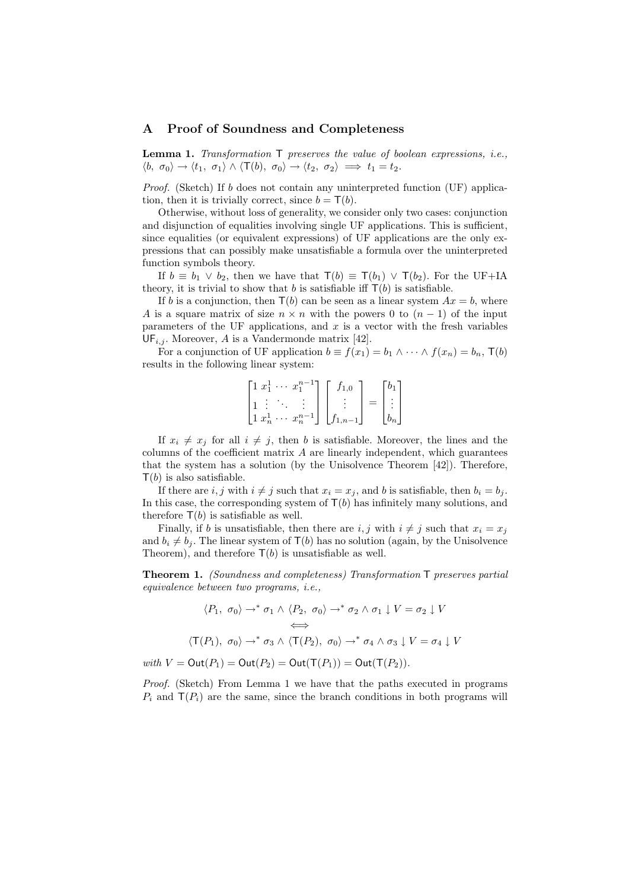# A Proof of Soundness and Completeness

Lemma 1. Transformation T preserves the value of boolean expressions, i.e.,  $\langle b, \sigma_0 \rangle \to \langle t_1, \sigma_1 \rangle \land \langle \mathsf{T}(b), \sigma_0 \rangle \to \langle t_2, \sigma_2 \rangle \implies t_1 = t_2.$ 

Proof. (Sketch) If b does not contain any uninterpreted function (UF) application, then it is trivially correct, since  $b = T(b)$ .

Otherwise, without loss of generality, we consider only two cases: conjunction and disjunction of equalities involving single UF applications. This is sufficient, since equalities (or equivalent expressions) of UF applications are the only expressions that can possibly make unsatisfiable a formula over the uninterpreted function symbols theory.

If  $b \equiv b_1 \vee b_2$ , then we have that  $\mathsf{T}(b) \equiv \mathsf{T}(b_1) \vee \mathsf{T}(b_2)$ . For the UF+IA theory, it is trivial to show that b is satisfiable iff  $\mathsf{T}(b)$  is satisfiable.

If b is a conjunction, then  $T(b)$  can be seen as a linear system  $Ax = b$ , where A is a square matrix of size  $n \times n$  with the powers 0 to  $(n-1)$  of the input parameters of the UF applications, and  $x$  is a vector with the fresh variables  $\mathsf{UF}_{i,j}$ . Moreover, A is a Vandermonde matrix [42].

For a conjunction of UF application  $b \equiv f(x_1) = b_1 \wedge \cdots \wedge f(x_n) = b_n$ ,  $\mathsf{T}(b)$ results in the following linear system:

$$
\begin{bmatrix} 1 & x_1^1 & \cdots & x_1^{n-1} \\ 1 & \vdots & \ddots & \vdots \\ 1 & x_n^1 & \cdots & x_n^{n-1} \end{bmatrix} \begin{bmatrix} f_{1,0} \\ \vdots \\ f_{1,n-1} \end{bmatrix} = \begin{bmatrix} b_1 \\ \vdots \\ b_n \end{bmatrix}
$$

If  $x_i \neq x_j$  for all  $i \neq j$ , then b is satisfiable. Moreover, the lines and the columns of the coefficient matrix  $A$  are linearly independent, which guarantees that the system has a solution (by the Unisolvence Theorem [42]). Therefore,  $T(b)$  is also satisfiable.

If there are i, j with  $i \neq j$  such that  $x_i = x_j$ , and b is satisfiable, then  $b_i = b_j$ . In this case, the corresponding system of  $T(b)$  has infinitely many solutions, and therefore  $\mathsf{T}(b)$  is satisfiable as well.

Finally, if b is unsatisfiable, then there are  $i, j$  with  $i \neq j$  such that  $x_i = x_j$ and  $b_i \neq b_j$ . The linear system of  $\mathsf{T}(b)$  has no solution (again, by the Unisolvence Theorem), and therefore  $T(b)$  is unsatisfiable as well.

Theorem 1. (Soundness and completeness) Transformation T preserves partial equivalence between two programs, i.e.,

$$
\langle P_1, \sigma_0 \rangle \to^* \sigma_1 \land \langle P_2, \sigma_0 \rangle \to^* \sigma_2 \land \sigma_1 \downarrow V = \sigma_2 \downarrow V
$$
  

$$
\iff
$$
  

$$
\langle \mathsf{T}(P_1), \sigma_0 \rangle \to^* \sigma_3 \land \langle \mathsf{T}(P_2), \sigma_0 \rangle \to^* \sigma_4 \land \sigma_3 \downarrow V = \sigma_4 \downarrow V
$$

with  $V = Out(P_1) = Out(P_2) = Out(T(P_1)) = Out(T(P_2)).$ 

Proof. (Sketch) From Lemma 1 we have that the paths executed in programs  $P_i$  and  $T(P_i)$  are the same, since the branch conditions in both programs will